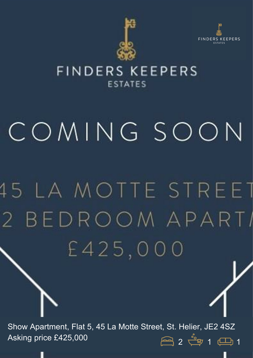



## FINDERS KEEPERS **ESTATES**

## COMING SOON

## **15 LA MOTTE STREET** 2 BEDROOM APARTI £425,000

Show Apartment, Flat 5, 45 La Motte Street, St. Helier, JE2 4SZ Asking price £425,000  $\begin{array}{ccc} & & \text{if } & 2 \downarrow \text{ or } & 1 \end{array}$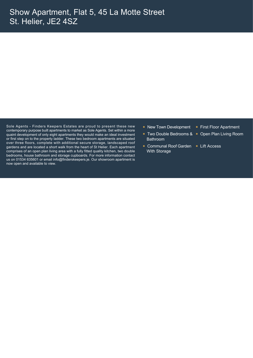Sole Agents - Finders Keepers Estates are proud to present these new contemporary purpose built apartments to market as Sole Agents. Set within a more quaint development of only eight apartments they would make an ideal investment or first step on to the property ladder. These two bedroom apartments are situated over three floors, complete with additional secure storage, landscaped roof gardens and are located a short walk from the heart of St Helier. Each apartment comprises of an open plan living area with a fully fitted quality kitchen, two double bedrooms, house bathroom and storage cupboards. For more information contact us on 01534 635601 or email info@finderskeepers.je. Our showroom apartment is now open and available to view.

- New Town Development First Floor Apartment
	- Bathroom
- Communal Roof Garden Lift Access With Storage
- 
- Two Double Bedrooms & Open Plan Living Room
	-